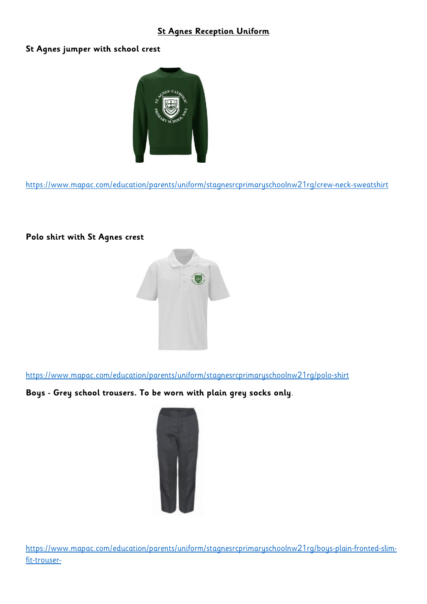# **St Agnes Reception Uniform**

#### **St Agnes jumper with school crest**



<https://www.mapac.com/education/parents/uniform/stagnesrcprimaryschoolnw21rg/crew-neck-sweatshirt>

# **Polo shirt with St Agnes crest**



<https://www.mapac.com/education/parents/uniform/stagnesrcprimaryschoolnw21rg/polo-shirt>

# **Boys - Grey school trousers. To be worn with plain grey socks only**.



[https://www.mapac.com/education/parents/uniform/stagnesrcprimaryschoolnw21rg/boys-plain-fronted-slim](https://www.mapac.com/education/parents/uniform/stagnesrcprimaryschoolnw21rg/boys-plain-fronted-slim-fit-trouser-)[fit-trouser-](https://www.mapac.com/education/parents/uniform/stagnesrcprimaryschoolnw21rg/boys-plain-fronted-slim-fit-trouser-)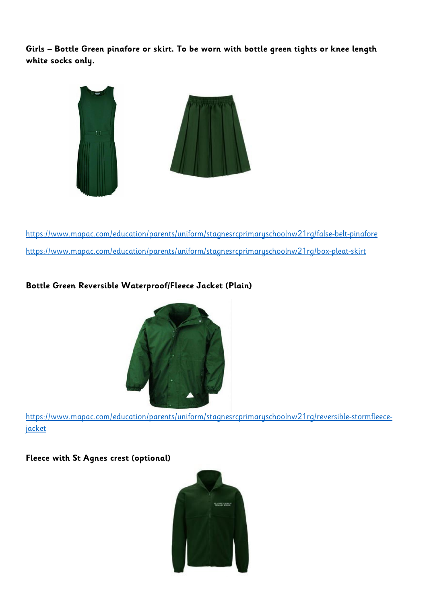**Girls – Bottle Green pinafore or skirt. To be worn with bottle green tights or knee length white socks only.** 



<https://www.mapac.com/education/parents/uniform/stagnesrcprimaryschoolnw21rg/false-belt-pinafore> <https://www.mapac.com/education/parents/uniform/stagnesrcprimaryschoolnw21rg/box-pleat-skirt>

# **Bottle Green Reversible Waterproof/Fleece Jacket (Plain)**



[https://www.mapac.com/education/parents/uniform/stagnesrcprimaryschoolnw21rg/reversible-stormfleece](https://www.mapac.com/education/parents/uniform/stagnesrcprimaryschoolnw21rg/reversible-stormfleece-jacket)[jacket](https://www.mapac.com/education/parents/uniform/stagnesrcprimaryschoolnw21rg/reversible-stormfleece-jacket)

**Fleece with St Agnes crest (optional)**

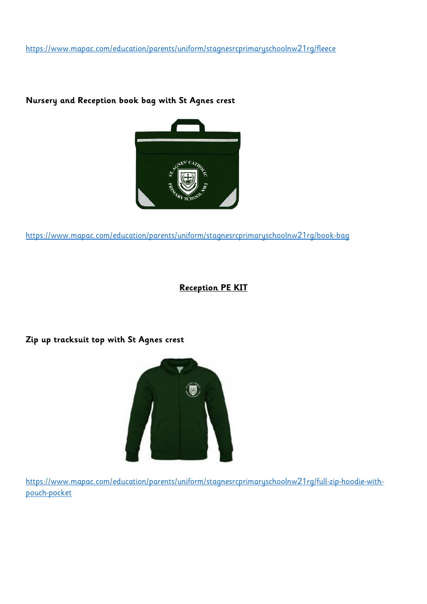<https://www.mapac.com/education/parents/uniform/stagnesrcprimaryschoolnw21rg/fleece>

#### **Nursery and Reception book bag with St Agnes crest**



<https://www.mapac.com/education/parents/uniform/stagnesrcprimaryschoolnw21rg/book-bag>

# **Reception PE KIT**

**Zip up tracksuit top with St Agnes crest**



[https://www.mapac.com/education/parents/uniform/stagnesrcprimaryschoolnw21rg/full-zip-hoodie-with](https://www.mapac.com/education/parents/uniform/stagnesrcprimaryschoolnw21rg/full-zip-hoodie-with-pouch-pocket)[pouch-pocket](https://www.mapac.com/education/parents/uniform/stagnesrcprimaryschoolnw21rg/full-zip-hoodie-with-pouch-pocket)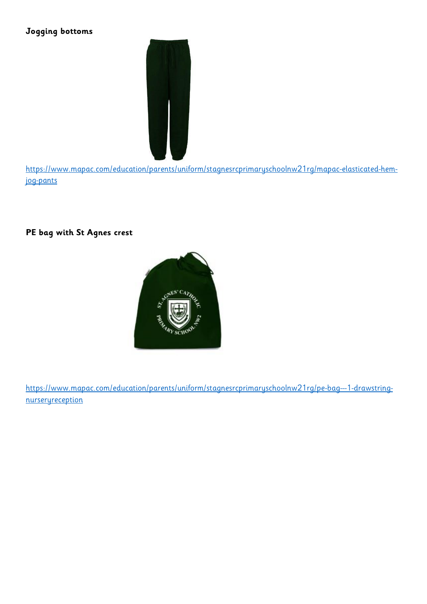# **Jogging bottoms**



[https://www.mapac.com/education/parents/uniform/stagnesrcprimaryschoolnw21rg/mapac-elasticated-hem](https://www.mapac.com/education/parents/uniform/stagnesrcprimaryschoolnw21rg/mapac-elasticated-hem-jog-pants)[jog-pants](https://www.mapac.com/education/parents/uniform/stagnesrcprimaryschoolnw21rg/mapac-elasticated-hem-jog-pants)

# **PE bag with St Agnes crest**



[https://www.mapac.com/education/parents/uniform/stagnesrcprimaryschoolnw21rg/pe-bag---1-drawstring](https://www.mapac.com/education/parents/uniform/stagnesrcprimaryschoolnw21rg/pe-bag---1-drawstring-nurseryreception)[nurseryreception](https://www.mapac.com/education/parents/uniform/stagnesrcprimaryschoolnw21rg/pe-bag---1-drawstring-nurseryreception)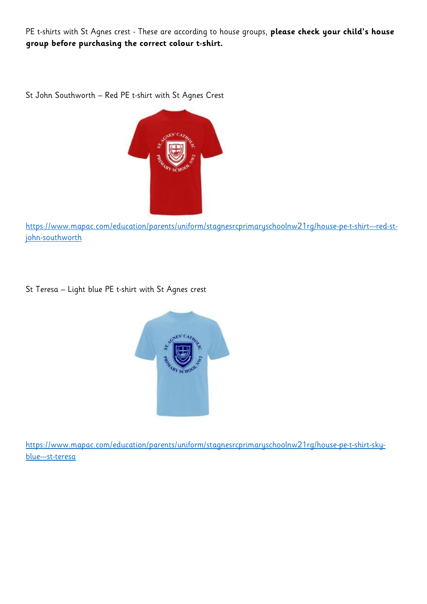PE t-shirts with St Agnes crest - These are according to house groups, **please check your child's house group before purchasing the correct colour t-shirt.** 

St John Southworth – Red PE t-shirt with St Agnes Crest



[https://www.mapac.com/education/parents/uniform/stagnesrcprimaryschoolnw21rg/house-pe-t-shirt---red-st](https://www.mapac.com/education/parents/uniform/stagnesrcprimaryschoolnw21rg/house-pe-t-shirt---red-st-john-southworth)[john-southworth](https://www.mapac.com/education/parents/uniform/stagnesrcprimaryschoolnw21rg/house-pe-t-shirt---red-st-john-southworth)

St Teresa – Light blue PE t-shirt with St Agnes crest



[https://www.mapac.com/education/parents/uniform/stagnesrcprimaryschoolnw21rg/house-pe-t-shirt-sky](https://www.mapac.com/education/parents/uniform/stagnesrcprimaryschoolnw21rg/house-pe-t-shirt-sky-blue---st-teresa)[blue---st-teresa](https://www.mapac.com/education/parents/uniform/stagnesrcprimaryschoolnw21rg/house-pe-t-shirt-sky-blue---st-teresa)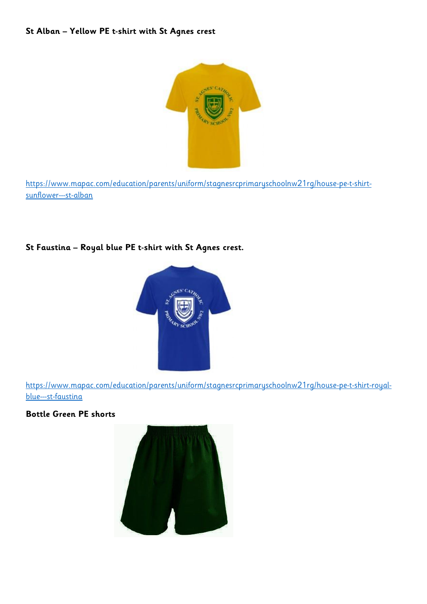#### **St Alban – Yellow PE t-shirt with St Agnes crest**



[https://www.mapac.com/education/parents/uniform/stagnesrcprimaryschoolnw21rg/house-pe-t-shirt](https://www.mapac.com/education/parents/uniform/stagnesrcprimaryschoolnw21rg/house-pe-t-shirt-sunflower---st-alban)[sunflower---st-alban](https://www.mapac.com/education/parents/uniform/stagnesrcprimaryschoolnw21rg/house-pe-t-shirt-sunflower---st-alban)

# **St Faustina – Royal blue PE t-shirt with St Agnes crest.**



[https://www.mapac.com/education/parents/uniform/stagnesrcprimaryschoolnw21rg/house-pe-t-shirt-royal](https://www.mapac.com/education/parents/uniform/stagnesrcprimaryschoolnw21rg/house-pe-t-shirt-royal-blue---st-faustina)[blue---st-faustina](https://www.mapac.com/education/parents/uniform/stagnesrcprimaryschoolnw21rg/house-pe-t-shirt-royal-blue---st-faustina)

### **Bottle Green PE shorts**

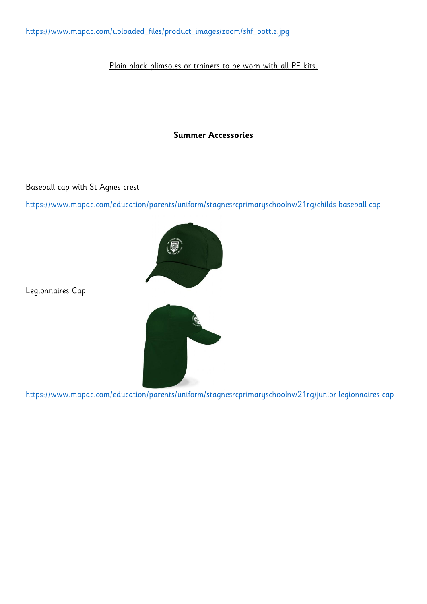[https://www.mapac.com/uploaded\\_files/product\\_images/zoom/shf\\_bottle.jpg](https://www.mapac.com/uploaded_files/product_images/zoom/shf_bottle.jpg)

#### Plain black plimsoles or trainers to be worn with all PE kits.

### **Summer Accessories**

Baseball cap with St Agnes crest

<https://www.mapac.com/education/parents/uniform/stagnesrcprimaryschoolnw21rg/childs-baseball-cap>



Legionnaires Cap



<https://www.mapac.com/education/parents/uniform/stagnesrcprimaryschoolnw21rg/junior-legionnaires-cap>